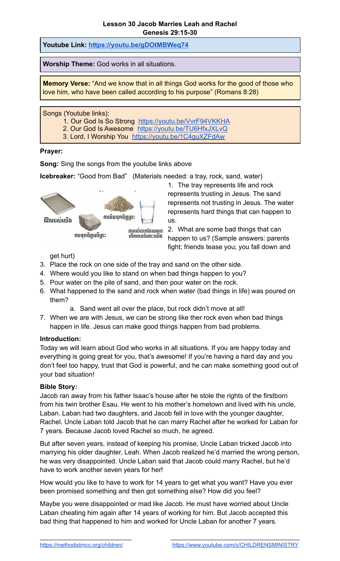**Youtube Link: <https://youtu.be/gDOtMBWeq74>**

**Worship Theme:** God works in all situations.

**Memory Verse:** "And we know that in all things God works for the good of those who love him, who have been called according to his purpose" (Romans 8:28)

Songs (Youtube links):

- 1. Our God Is So Strong <https://youtu.be/VvrF94VKKHA>
- 2. Our God Is Awesome <https://youtu.be/TU6HfxJXLvQ>
- 3. Lord, I Worship You <https://youtu.be/1C4guXZFdAw>

## **Prayer:**

**Song:** Sing the songs from the youtube links above

**Icebreaker:** "Good from Bad" (Materials needed: a tray, rock, sand, water)



1. The tray represents life and rock represents trusting in Jesus. The sand represents not trusting in Jesus. The water represents hard things that can happen to us.

2. What are some bad things that can happen to us? (Sample answers: parents fight; friends tease you; you fall down and

get hurt)

- 3. Place the rock on one side of the tray and sand on the other side.
- 4. Where would you like to stand on when bad things happen to you?
- 5. Pour water on the pile of sand, and then pour water on the rock.
- 6. What happened to the sand and rock when water (bad things in life) was poured on them?
	- a. Sand went all over the place, but rock didn't move at all!
- 7. When we are with Jesus, we can be strong like ther rock even when bad things happen in life. Jesus can make good things happen from bad problems.

## **Introduction:**

Today we will learn about God who works in all situations. If you are happy today and everything is going great for you, that's awesome! If you're having a hard day and you don't feel too happy, trust that God is powerful, and he can make something good out of your bad situation!

## **Bible Story:**

Jacob ran away from his father Isaac's house after he stole the rights of the firstborn from his twin brother Esau. He went to his mother's hometown and lived with his uncle, Laban. Laban had two daughters, and Jacob fell in love with the younger daughter, Rachel. Uncle Laban told Jacob that he can marry Rachel after he worked for Laban for 7 years. Because Jacob loved Rachel so much, he agreed.

But after seven years, instead of keeping his promise, Uncle Laban tricked Jacob into marrying his older daughter, Leah. When Jacob realized he'd married the wrong person, he was very disappointed. Uncle Laban said that Jacob could marry Rachel, but he'd have to work another seven years for her!

How would you like to have to work for 14 years to get what you want? Have you ever been promised something and then got something else? How did you feel?

Maybe you were disappointed or mad like Jacob. He must have worried about Uncle Laban cheating him again after 14 years of working for him. But Jacob accepted this bad thing that happened to him and worked for Uncle Laban for another 7 years.

 $\_$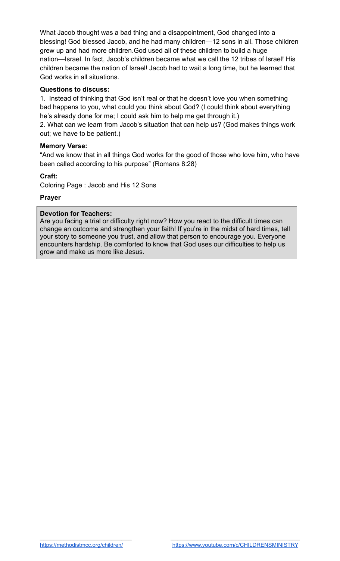What Jacob thought was a bad thing and a disappointment, God changed into a blessing! God blessed Jacob, and he had many children—12 sons in all. Those children grew up and had more children.God used all of these children to build a huge nation—Israel. In fact, Jacob's children became what we call the 12 tribes of Israel! His children became the nation of Israel! Jacob had to wait a long time, but he learned that God works in all situations.

# **Questions to discuss:**

1. Instead of thinking that God isn't real or that he doesn't love you when something bad happens to you, what could you think about God? (I could think about everything he's already done for me; I could ask him to help me get through it.)

2. What can we learn from Jacob's situation that can help us? (God makes things work out; we have to be patient.)

## **Memory Verse:**

"And we know that in all things God works for the good of those who love him, who have been called according to his purpose" (Romans 8:28)

## **Craft:**

Coloring Page : Jacob and His 12 Sons

## **Prayer**

### **Devotion for Teachers:**

Are you facing a trial or difficulty right now? How you react to the difficult times can change an outcome and strengthen your faith! If you're in the midst of hard times, tell your story to someone you trust, and allow that person to encourage you. Everyone encounters hardship. Be comforted to know that God uses our difficulties to help us grow and make us more like Jesus.

 $\_$